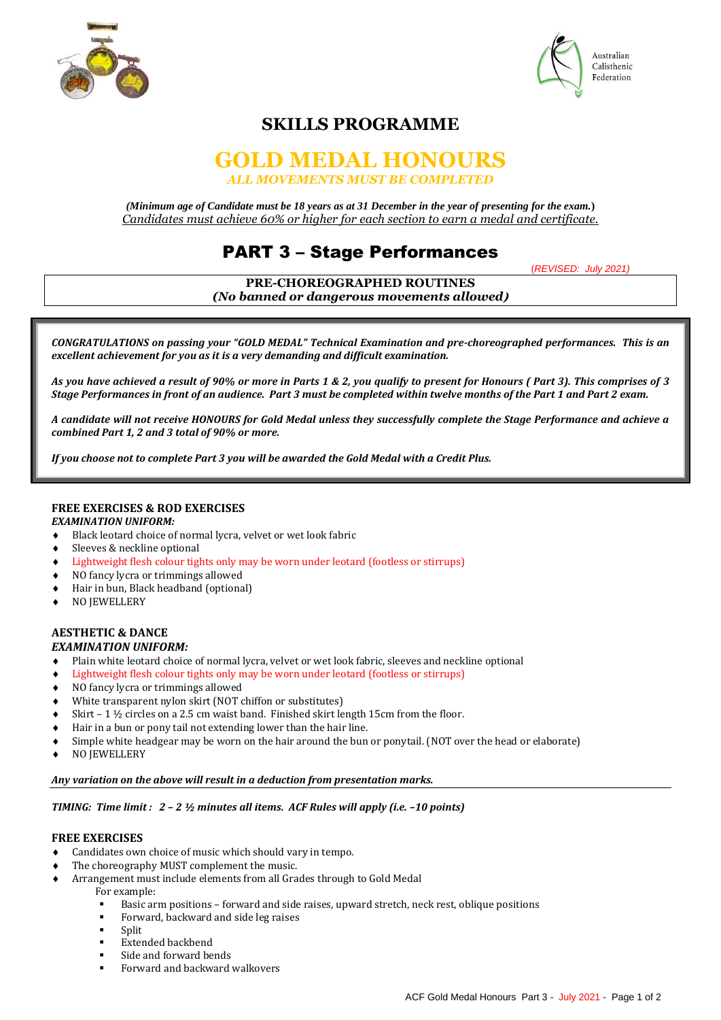



# **SKILLS PROGRAMME**

### **GOLD MEDAL HONOURS** *ALL MOVEMENTS MUST BE COMPLETED*

*(Minimum age of Candidate must be 18 years as at 31 December in the year of presenting for the exam.***)** *Candidates must achieve 60% or higher for each section to earn a medal and certificate.*

## PART 3 – Stage Performances

(*REVISED: July 2021)*

**PRE-CHOREOGRAPHED ROUTINES** *(No banned or dangerous movements allowed***)** Ι

*CONGRATULATIONS on passing your "GOLD MEDAL" Technical Examination and pre-choreographed performances. This is an excellent achievement for you as it is a very demanding and difficult examination.*

*As you have achieved a result of 90% or more in Parts 1 & 2, you qualify to present for Honours ( Part 3). This comprises of 3 Stage Performances in front of an audience. Part 3 must be completed within twelve months of the Part 1 and Part 2 exam.*

*A candidate will not receive HONOURS for Gold Medal unless they successfully complete the Stage Performance and achieve a combined Part 1, 2 and 3 total of 90% or more.*

*If you choose not to complete Part 3 you will be awarded the Gold Medal with a Credit Plus.*

#### **FREE EXERCISES & ROD EXERCISES**

#### *EXAMINATION UNIFORM:*

- Black leotard choice of normal lycra, velvet or wet look fabric
- ◆ Sleeves & neckline optional
- Lightweight flesh colour tights only may be worn under leotard (footless or stirrups)
- NO fancy lycra or trimmings allowed
- Hair in bun, Black headband (optional)
- $\bullet$  NO JEWELLERY

#### **AESTHETIC & DANCE** *EXAMINATION UNIFORM:*

- Plain white leotard choice of normal lycra, velvet or wet look fabric, sleeves and neckline optional
- Lightweight flesh colour tights only may be worn under leotard (footless or stirrups)
- NO fancy lycra or trimmings allowed
- White transparent nylon skirt (NOT chiffon or substitutes)
- $\bullet$  Skirt 1  $\frac{1}{2}$  circles on a 2.5 cm waist band. Finished skirt length 15cm from the floor.
- Hair in a bun or pony tail not extending lower than the hair line.
- Simple white headgear may be worn on the hair around the bun or ponytail. (NOT over the head or elaborate)
- ◆ NO JEWELLERY

#### *Any variation on the above will result in a deduction from presentation marks.*

#### *TIMING: Time limit : 2 - 2 ½ minutes all items. ACF Rules will apply (i.e. -10 points)*

#### **FREE EXERCISES**

- Candidates own choice of music which should vary in tempo.
- The choreography MUST complement the music.
- Arrangement must include elements from all Grades through to Gold Medal
	- For example:
		- Basic arm positions forward and side raises, upward stretch, neck rest, oblique positions
	- Forward, backward and side leg raises
	- Split
	- Extended backbend
	- Side and forward bends
	- Forward and backward walkovers